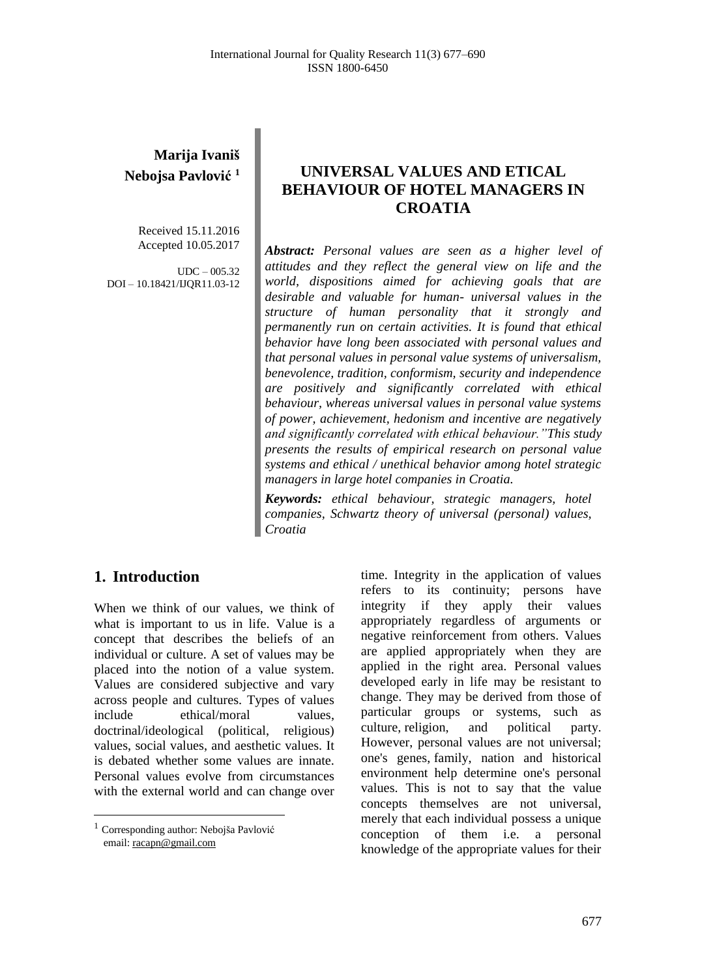# **Marija Ivaniš Nebojsa Pavlović 1**

Received 15.11.2016 Accepted 10.05.2017

 $UDC - 005.32$ DOI – 10.18421/IJQR11.03-12

# **UNIVERSAL VALUES AND ETICAL BEHAVIOUR OF HOTEL MANAGERS IN CROATIA**

*Abstract: Personal values are seen as a higher level of attitudes and they reflect the general view on life and the world, dispositions aimed for achieving goals that are desirable and valuable for human- universal values in the structure of human personality that it strongly and permanently run on certain activities. It is found that ethical behavior have long been associated with personal values and that personal values in personal value systems of universalism, benevolence, tradition, conformism, security and independence are positively and significantly correlated with ethical behaviour, whereas universal values in personal value systems of power, achievement, hedonism and incentive are negatively and significantly correlated with ethical behaviour."This study presents the results of empirical research on personal value systems and ethical / unethical behavior among hotel strategic managers in large hotel companies in Croatia.*

*Keywords: ethical behaviour, strategic managers, hotel companies, Schwartz theory of universal (personal) values, Croatia*

## **1. Introduction<sup>1</sup>**

When we think of our values, we think of what is important to us in life. Value is a concept that describes the beliefs of an individual or culture. A set of values may be placed into the notion of a value system. Values are considered subjective and vary across people and cultures. Types of values include ethical/moral values, doctrinal/ideological (political, religious) values, social values, and aesthetic values. It is debated whether some values are innate. Personal values evolve from circumstances with the external world and can change over

 $\overline{\phantom{a}}$ 

time. Integrity in the application of values refers to its continuity; persons have integrity if they apply their values appropriately regardless of arguments or negative reinforcement from others. Values are applied appropriately when they are applied in the right area. Personal values developed early in life may be resistant to change. They may be derived from those of particular groups or systems, such as culture, [religion,](http://www.selfgrowth.com/religion.html) and political party. However, personal values are not universal; one's genes, [family,](http://www.selfgrowth.com/family.html) nation and historical environment help determine one's personal values. This is not to say that the value concepts themselves are not universal, merely that each individual possess a unique conception of them i.e. a personal knowledge of the appropriate values for their

<sup>&</sup>lt;sup>1</sup> Corresponding author: Nebojša Pavlović email[: racapn@gmail.com](mailto:racapn@gmail.com)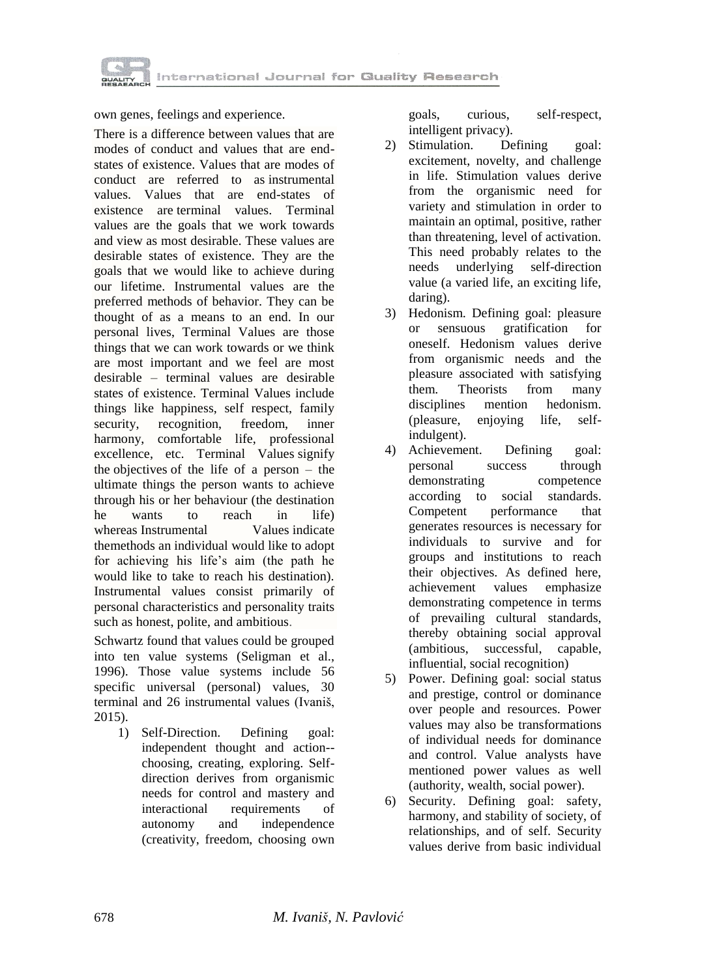

own genes, feelings and experience.

There is a difference between values that are modes of conduct and values that are endstates of existence. Values that are modes of conduct are referred to as instrumental values. Values that are end-states of existence are terminal values. Terminal values are the goals that we work towards and view as most desirable. These values are desirable states of existence. They are the goals that we would like to achieve during our lifetime. Instrumental values are the preferred methods of behavior. They can be thought of as a means to an end. In our personal lives, Terminal Values are those things that we can work towards or we think are most important and we feel are most desirable – terminal values are desirable states of existence. Terminal Values include things like happiness, self respect, family security, recognition, freedom, inner harmony, comfortable life, professional excellence, etc. Terminal Values signify the objectives of the life of a person – the ultimate things the person wants to achieve through his or her behaviour (the destination he wants to reach in life) whereas Instrumental Values indicate themethods an individual would like to adopt for achieving his life's aim (the path he would like to take to reach his destination). Instrumental values consist primarily of personal characteristics and personality traits such as honest, polite, and ambitious.

Schwartz found that values could be grouped into ten value systems (Seligman et al., 1996). Those value systems include 56 specific universal (personal) values, 30 terminal and 26 instrumental values (Ivaniš, 2015).

1) Self-Direction. Defining goal: independent thought and action- choosing, creating, exploring. Selfdirection derives from organismic needs for control and mastery and interactional requirements of autonomy and independence (creativity, freedom, choosing own

goals, curious, self-respect, intelligent privacy).

- 2) Stimulation. Defining goal: excitement, novelty, and challenge in life. Stimulation values derive from the organismic need for variety and stimulation in order to maintain an optimal, positive, rather than threatening, level of activation. This need probably relates to the needs underlying self-direction value (a varied life, an exciting life, daring).
- 3) Hedonism. Defining goal: pleasure or sensuous gratification for oneself. Hedonism values derive from organismic needs and the pleasure associated with satisfying them. Theorists from many disciplines mention hedonism. (pleasure, enjoying life, selfindulgent).
- 4) Achievement. Defining goal: personal success through demonstrating competence according to social standards. Competent performance that generates resources is necessary for individuals to survive and for groups and institutions to reach their objectives. As defined here, achievement values emphasize demonstrating competence in terms of prevailing cultural standards, thereby obtaining social approval (ambitious, successful, capable, influential, social recognition)
- 5) Power. Defining goal: social status and prestige, control or dominance over people and resources. Power values may also be transformations of individual needs for dominance and control. Value analysts have mentioned power values as well (authority, wealth, social power).
- 6) Security. Defining goal: safety, harmony, and stability of society, of relationships, and of self. Security values derive from basic individual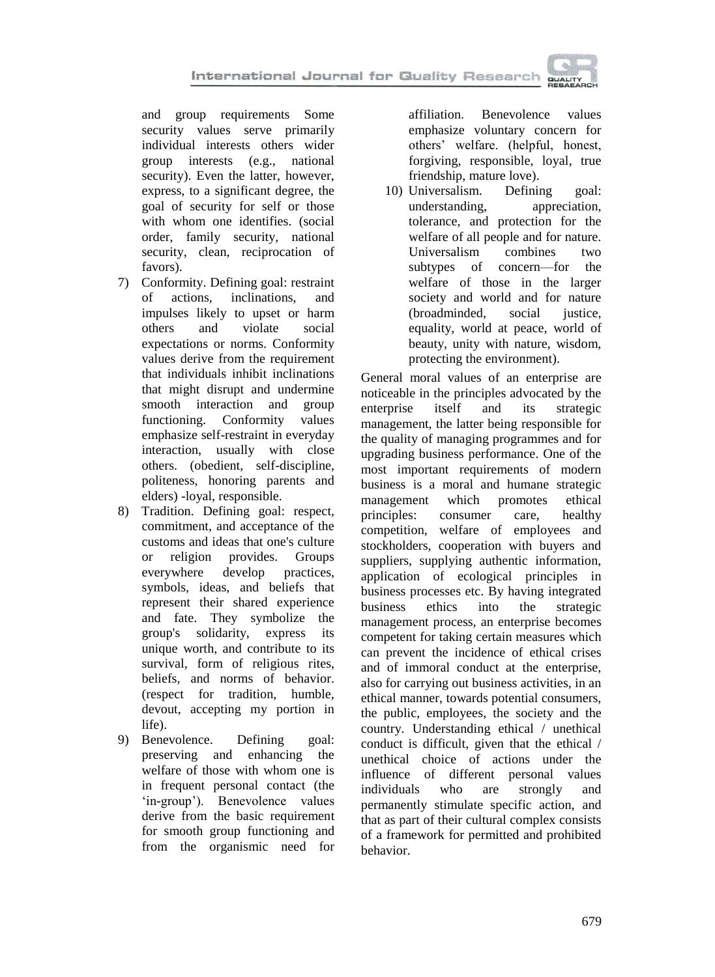and group requirements Some security values serve primarily individual interests others wider group interests (e.g., national security). Even the latter, however, express, to a significant degree, the goal of security for self or those with whom one identifies. (social order, family security, national security, clean, reciprocation of favors).

- 7) Conformity. Defining goal: restraint of actions, inclinations, and impulses likely to upset or harm others and violate social expectations or norms. Conformity values derive from the requirement that individuals inhibit inclinations that might disrupt and undermine smooth interaction and group functioning. Conformity values emphasize self-restraint in everyday interaction, usually with close others. (obedient, self-discipline, politeness, honoring parents and elders) -loyal, responsible.
- 8) Tradition. Defining goal: respect, commitment, and acceptance of the customs and ideas that one's culture or religion provides. Groups everywhere develop practices, symbols, ideas, and beliefs that represent their shared experience and fate. They symbolize the group's solidarity, express its unique worth, and contribute to its survival, form of religious rites, beliefs, and norms of behavior. (respect for tradition, humble, devout, accepting my portion in life).
- 9) Benevolence. Defining goal: preserving and enhancing the welfare of those with whom one is in frequent personal contact (the 'in-group'). Benevolence values derive from the basic requirement for smooth group functioning and from the organismic need for

affiliation. Benevolence values emphasize voluntary concern for others' welfare. (helpful, honest, forgiving, responsible, loyal, true friendship, mature love).

10) Universalism. Defining goal: understanding, appreciation, tolerance, and protection for the welfare of all people and for nature. Universalism combines two subtypes of concern—for the welfare of those in the larger society and world and for nature (broadminded, social justice, equality, world at peace, world of beauty, unity with nature, wisdom, protecting the environment).

General moral values of an enterprise are noticeable in the principles advocated by the enterprise itself and its strategic enterprise itself and its strategic management, the latter being responsible for the quality of managing programmes and for upgrading business performance. One of the most important requirements of modern business is a moral and humane strategic management which promotes ethical principles: consumer care, healthy competition, welfare of employees and stockholders, cooperation with buyers and suppliers, supplying authentic information, application of ecological principles in business processes etc. By having integrated business ethics into the strategic management process, an enterprise becomes competent for taking certain measures which can prevent the incidence of ethical crises and of immoral conduct at the enterprise, also for carrying out business activities, in an ethical manner, towards potential consumers, the public, employees, the society and the country. Understanding ethical / unethical conduct is difficult, given that the ethical / unethical choice of actions under the influence of different personal values individuals who are strongly and permanently stimulate specific action, and that as part of their cultural complex consists of a framework for permitted and prohibited behavior.

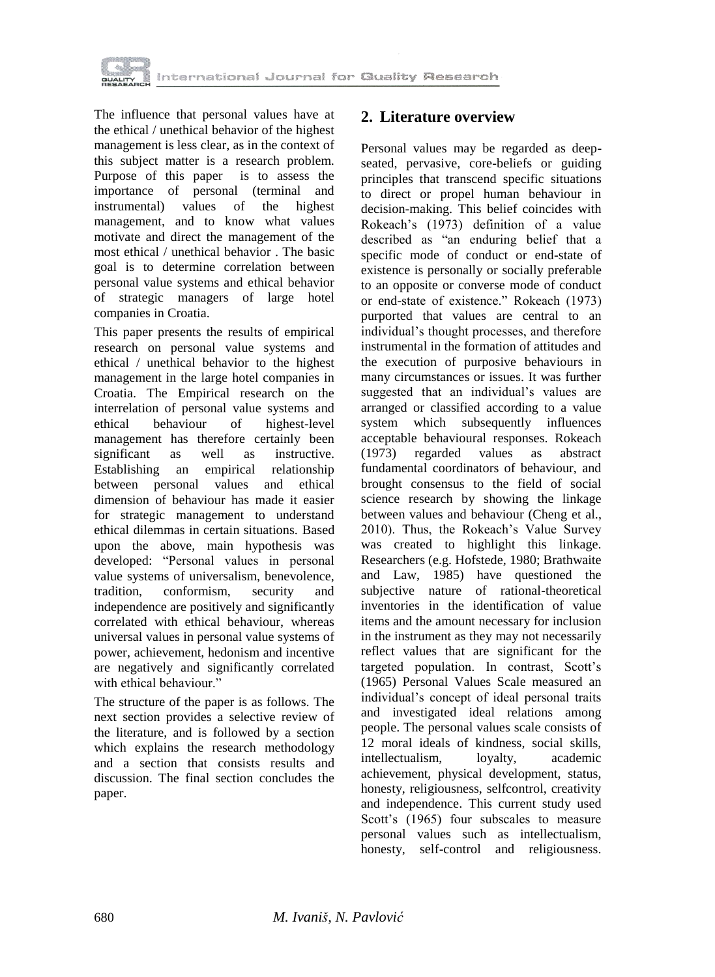

The influence that personal values have at the ethical / unethical behavior of the highest management is less clear, as in the context of this subject matter is a research problem. Purpose of this paper is to assess the importance of personal (terminal and instrumental) values of the highest management, and to know what values motivate and direct the management of the most ethical / unethical behavior . The basic goal is to determine correlation between personal value systems and ethical behavior of strategic managers of large hotel companies in Croatia.

This paper presents the results of empirical research on personal value systems and ethical / unethical behavior to the highest management in the large hotel companies in Croatia. The Empirical research on the interrelation of personal value systems and ethical behaviour of highest-level management has therefore certainly been significant as well as instructive. Establishing an empirical relationship between personal values and ethical dimension of behaviour has made it easier for strategic management to understand ethical dilemmas in certain situations. Based upon the above, main hypothesis was developed: "Personal values in personal value systems of universalism, benevolence, tradition, conformism, security and independence are positively and significantly correlated with ethical behaviour, whereas universal values in personal value systems of power, achievement, hedonism and incentive are negatively and significantly correlated with ethical behaviour."

The structure of the paper is as follows. The next section provides a selective review of the literature, and is followed by a section which explains the research methodology and a section that consists results and discussion. The final section concludes the paper.

#### **2. Literature overview**

Personal values may be regarded as deepseated, pervasive, core-beliefs or guiding principles that transcend specific situations to direct or propel human behaviour in decision-making. This belief coincides with Rokeach's (1973) definition of a value described as "an enduring belief that a specific mode of conduct or end-state of existence is personally or socially preferable to an opposite or converse mode of conduct or end-state of existence." Rokeach (1973) purported that values are central to an individual's thought processes, and therefore instrumental in the formation of attitudes and the execution of purposive behaviours in many circumstances or issues. It was further suggested that an individual's values are arranged or classified according to a value system which subsequently influences acceptable behavioural responses. Rokeach (1973) regarded values as abstract fundamental coordinators of behaviour, and brought consensus to the field of social science research by showing the linkage between values and behaviour (Cheng et al., 2010). Thus, the Rokeach's Value Survey was created to highlight this linkage. Researchers (e.g. Hofstede, 1980; Brathwaite and Law, 1985) have questioned the subjective nature of rational-theoretical inventories in the identification of value items and the amount necessary for inclusion in the instrument as they may not necessarily reflect values that are significant for the targeted population. In contrast, Scott's (1965) Personal Values Scale measured an individual's concept of ideal personal traits and investigated ideal relations among people. The personal values scale consists of 12 moral ideals of kindness, social skills, intellectualism, loyalty, academic achievement, physical development, status, honesty, religiousness, selfcontrol, creativity and independence. This current study used Scott's (1965) four subscales to measure personal values such as intellectualism, honesty, self-control and religiousness.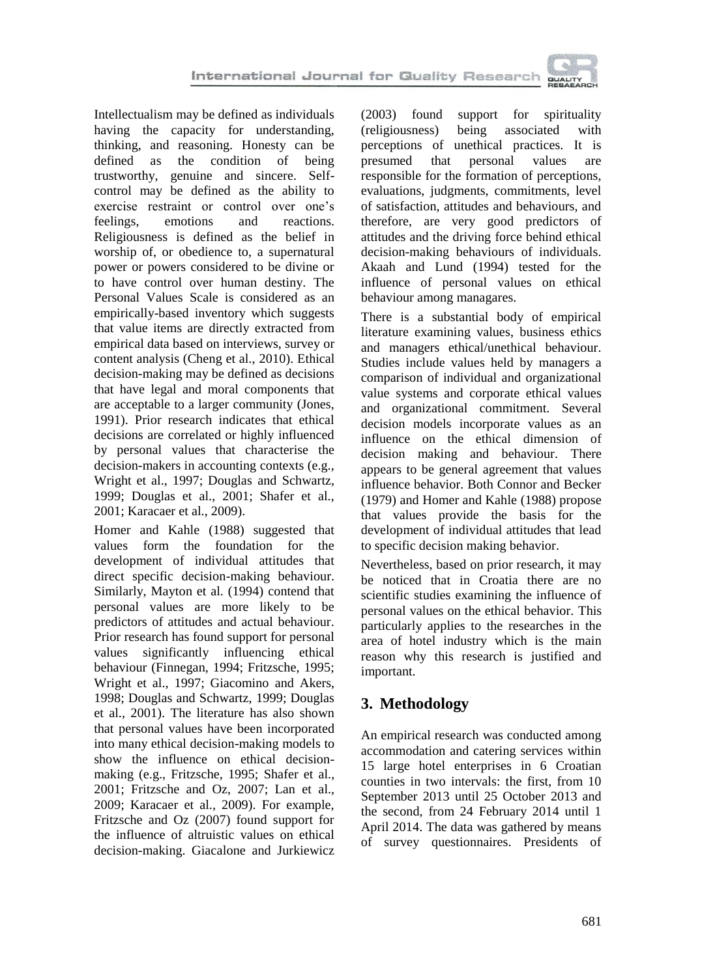

Intellectualism may be defined as individuals having the capacity for understanding, thinking, and reasoning. Honesty can be defined as the condition of being trustworthy, genuine and sincere. Selfcontrol may be defined as the ability to exercise restraint or control over one's feelings, emotions and reactions. Religiousness is defined as the belief in worship of, or obedience to, a supernatural power or powers considered to be divine or to have control over human destiny. The Personal Values Scale is considered as an empirically-based inventory which suggests that value items are directly extracted from empirical data based on interviews, survey or content analysis (Cheng et al., 2010). Ethical decision-making may be defined as decisions that have legal and moral components that are acceptable to a larger community (Jones, 1991). Prior research indicates that ethical decisions are correlated or highly influenced by personal values that characterise the decision-makers in accounting contexts (e.g., Wright et al., 1997; Douglas and Schwartz, 1999; Douglas et al., 2001; Shafer et al., 2001; Karacaer et al., 2009).

Homer and Kahle (1988) suggested that values form the foundation for the development of individual attitudes that direct specific decision-making behaviour. Similarly, Mayton et al. (1994) contend that personal values are more likely to be predictors of attitudes and actual behaviour. Prior research has found support for personal values significantly influencing ethical behaviour (Finnegan, 1994; Fritzsche, 1995; Wright et al., 1997; Giacomino and Akers, 1998; Douglas and Schwartz, 1999; Douglas et al., 2001). The literature has also shown that personal values have been incorporated into many ethical decision-making models to show the influence on ethical decisionmaking (e.g., Fritzsche, 1995; Shafer et al., 2001; Fritzsche and Oz, 2007; Lan et al., 2009; Karacaer et al., 2009). For example, Fritzsche and Oz (2007) found support for the influence of altruistic values on ethical decision-making. Giacalone and Jurkiewicz

(2003) found support for spirituality (religiousness) being associated with perceptions of unethical practices. It is presumed that personal values are responsible for the formation of perceptions, evaluations, judgments, commitments, level of satisfaction, attitudes and behaviours, and therefore, are very good predictors of attitudes and the driving force behind ethical decision-making behaviours of individuals. Akaah and Lund (1994) tested for the influence of personal values on ethical behaviour among managares.

There is a substantial body of empirical literature examining values, business ethics and managers ethical/unethical behaviour. Studies include values held by managers a comparison of individual and organizational value systems and corporate ethical values and organizational commitment. Several decision models incorporate values as an influence on the ethical dimension of decision making and behaviour. There appears to be general agreement that values influence behavior. Both Connor and Becker (1979) and Homer and Kahle (1988) propose that values provide the basis for the development of individual attitudes that lead to specific decision making behavior.

Nevertheless, based on prior research, it may be noticed that in Croatia there are no scientific studies examining the influence of personal values on the ethical behavior. This particularly applies to the researches in the area of hotel industry which is the main reason why this research is justified and important.

# **3. Methodology**

An empirical research was conducted among accommodation and catering services within 15 large hotel enterprises in 6 Croatian counties in two intervals: the first, from 10 September 2013 until 25 October 2013 and the second, from 24 February 2014 until 1 April 2014. The data was gathered by means of survey questionnaires. Presidents of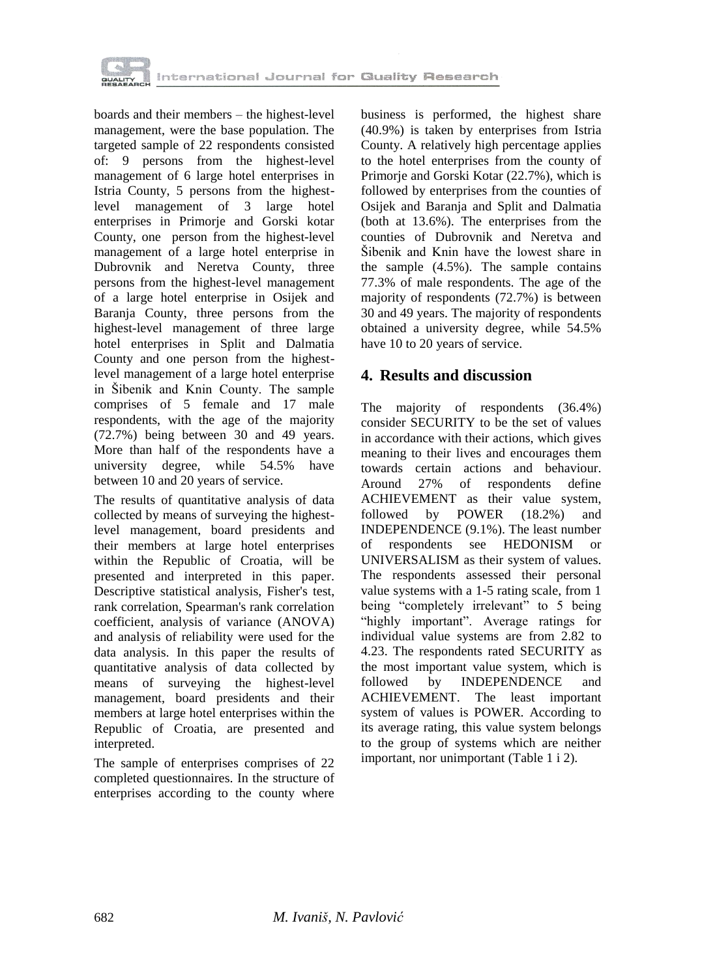

boards and their members – the highest-level management, were the base population. The targeted sample of 22 respondents consisted of: 9 persons from the highest-level management of 6 large hotel enterprises in Istria County, 5 persons from the highestlevel management of 3 large hotel enterprises in Primorje and Gorski kotar County, one person from the highest-level management of a large hotel enterprise in Dubrovnik and Neretva County, three persons from the highest-level management of a large hotel enterprise in Osijek and Baranja County, three persons from the highest-level management of three large hotel enterprises in Split and Dalmatia County and one person from the highestlevel management of a large hotel enterprise in Šibenik and Knin County. The sample comprises of 5 female and 17 male respondents, with the age of the majority (72.7%) being between 30 and 49 years. More than half of the respondents have a university degree, while 54.5% have between 10 and 20 years of service.

The results of quantitative analysis of data collected by means of surveying the highestlevel management, board presidents and their members at large hotel enterprises within the Republic of Croatia, will be presented and interpreted in this paper. Descriptive statistical analysis, Fisher's test, rank correlation, Spearman's rank correlation coefficient, analysis of variance (ANOVA) and analysis of reliability were used for the data analysis. In this paper the results of quantitative analysis of data collected by means of surveying the highest-level management, board presidents and their members at large hotel enterprises within the Republic of Croatia, are presented and interpreted.

The sample of enterprises comprises of 22 completed questionnaires. In the structure of enterprises according to the county where

business is performed, the highest share (40.9%) is taken by enterprises from Istria County. A relatively high percentage applies to the hotel enterprises from the county of Primorje and Gorski Kotar (22.7%), which is followed by enterprises from the counties of Osijek and Baranja and Split and Dalmatia (both at 13.6%). The enterprises from the counties of Dubrovnik and Neretva and Šibenik and Knin have the lowest share in the sample (4.5%). The sample contains 77.3% of male respondents. The age of the majority of respondents (72.7%) is between 30 and 49 years. The majority of respondents obtained a university degree, while 54.5% have 10 to 20 years of service.

## **4. Results and discussion**

The majority of respondents (36.4%) consider SECURITY to be the set of values in accordance with their actions, which gives meaning to their lives and encourages them towards certain actions and behaviour. Around 27% of respondents define ACHIEVEMENT as their value system, followed by POWER (18.2%) and INDEPENDENCE (9.1%). The least number of respondents see HEDONISM or UNIVERSALISM as their system of values. The respondents assessed their personal value systems with a 1-5 rating scale, from 1 being "completely irrelevant" to 5 being "highly important". Average ratings for individual value systems are from 2.82 to 4.23. The respondents rated SECURITY as the most important value system, which is followed by INDEPENDENCE and ACHIEVEMENT. The least important system of values is POWER. According to its average rating, this value system belongs to the group of systems which are neither important, nor unimportant (Table 1 i 2).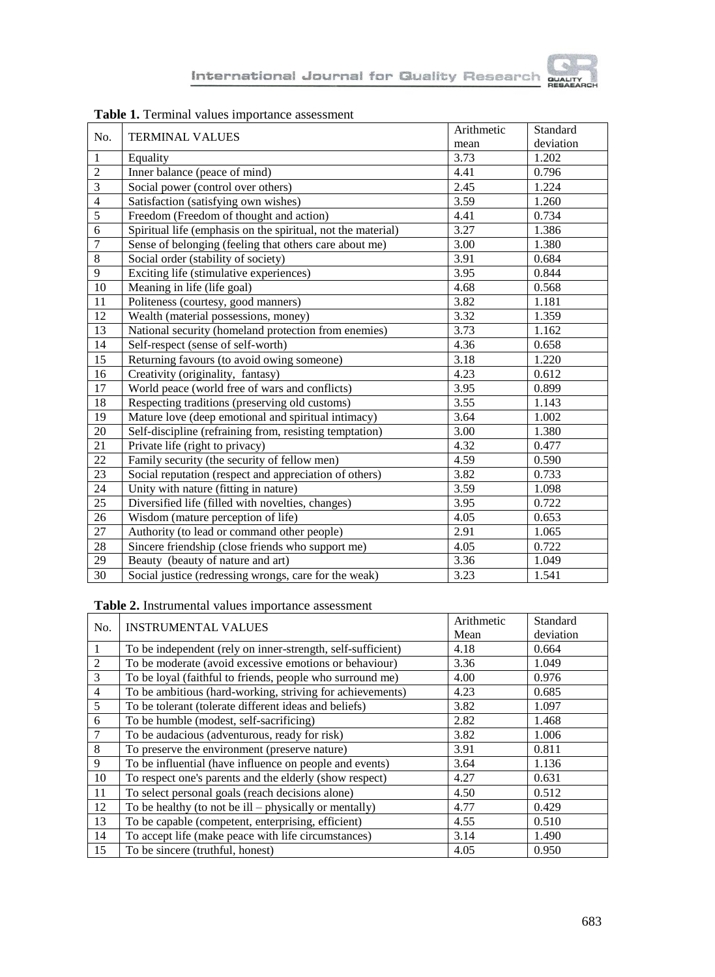| No.             | <b>TERMINAL VALUES</b>                                       | Arithmetic        | Standard  |
|-----------------|--------------------------------------------------------------|-------------------|-----------|
|                 |                                                              | mean              | deviation |
| $\mathbf{1}$    | Equality                                                     | $\overline{3.73}$ | 1.202     |
| $\overline{2}$  | Inner balance (peace of mind)                                | 4.41              | 0.796     |
| 3               | Social power (control over others)                           | 2.45              | 1.224     |
| $\overline{4}$  | Satisfaction (satisfying own wishes)                         | 3.59              | 1.260     |
| 5               | Freedom (Freedom of thought and action)                      | 4.41              | 0.734     |
| 6               | Spiritual life (emphasis on the spiritual, not the material) | 3.27              | 1.386     |
| $\overline{7}$  | Sense of belonging (feeling that others care about me)       | 3.00              | 1.380     |
| $\,8\,$         | Social order (stability of society)                          | 3.91              | 0.684     |
| 9               | Exciting life (stimulative experiences)                      | 3.95              | 0.844     |
| $\overline{10}$ | Meaning in life (life goal)                                  | 4.68              | 0.568     |
| 11              | Politeness (courtesy, good manners)                          | 3.82              | 1.181     |
| $\overline{12}$ | Wealth (material possessions, money)                         | 3.32              | 1.359     |
| $\overline{13}$ | National security (homeland protection from enemies)         | 3.73              | 1.162     |
| 14              | Self-respect (sense of self-worth)                           | 4.36              | 0.658     |
| 15              | Returning favours (to avoid owing someone)                   | 3.18              | 1.220     |
| $\overline{16}$ | Creativity (originality, fantasy)                            | 4.23              | 0.612     |
| 17              | World peace (world free of wars and conflicts)               | 3.95              | 0.899     |
| 18              | Respecting traditions (preserving old customs)               | 3.55              | 1.143     |
| 19              | Mature love (deep emotional and spiritual intimacy)          | 3.64              | 1.002     |
| 20              | Self-discipline (refraining from, resisting temptation)      | 3.00              | 1.380     |
| 21              | Private life (right to privacy)                              | 4.32              | 0.477     |
| 22              | Family security (the security of fellow men)                 | 4.59              | 0.590     |
| 23              | Social reputation (respect and appreciation of others)       | 3.82              | 0.733     |
| 24              | Unity with nature (fitting in nature)                        | 3.59              | 1.098     |
| 25              | Diversified life (filled with novelties, changes)            | 3.95              | 0.722     |
| 26              | Wisdom (mature perception of life)                           | 4.05              | 0.653     |
| 27              | Authority (to lead or command other people)                  | 2.91              | 1.065     |
| $28\,$          | Sincere friendship (close friends who support me)            | 4.05              | 0.722     |
| 29              | Beauty (beauty of nature and art)                            | 3.36              | 1.049     |
| $\overline{30}$ | Social justice (redressing wrongs, care for the weak)        | 3.23              | 1.541     |

### **Table 1.** Terminal values importance assessment

#### **Table 2.** Instrumental values importance assessment

| No.            | <b>INSTRUMENTAL VALUES</b>                                  | Arithmetic | Standard  |
|----------------|-------------------------------------------------------------|------------|-----------|
|                |                                                             | Mean       | deviation |
| 1              | To be independent (rely on inner-strength, self-sufficient) | 4.18       | 0.664     |
| 2              | To be moderate (avoid excessive emotions or behaviour)      | 3.36       | 1.049     |
| 3              | To be loyal (faithful to friends, people who surround me)   | 4.00       | 0.976     |
| $\overline{4}$ | To be ambitious (hard-working, striving for achievements)   | 4.23       | 0.685     |
| 5              | To be tolerant (tolerate different ideas and beliefs)       | 3.82       | 1.097     |
| 6              | To be humble (modest, self-sacrificing)                     | 2.82       | 1.468     |
| $\overline{7}$ | To be audacious (adventurous, ready for risk)               | 3.82       | 1.006     |
| 8              | To preserve the environment (preserve nature)               | 3.91       | 0.811     |
| 9              | To be influential (have influence on people and events)     | 3.64       | 1.136     |
| 10             | To respect one's parents and the elderly (show respect)     | 4.27       | 0.631     |
| 11             | To select personal goals (reach decisions alone)            | 4.50       | 0.512     |
| 12             | To be healthy (to not be $ill$ – physically or mentally)    | 4.77       | 0.429     |
| 13             | To be capable (competent, enterprising, efficient)          | 4.55       | 0.510     |
| 14             | To accept life (make peace with life circumstances)         | 3.14       | 1.490     |
| 15             | To be sincere (truthful, honest)                            | 4.05       | 0.950     |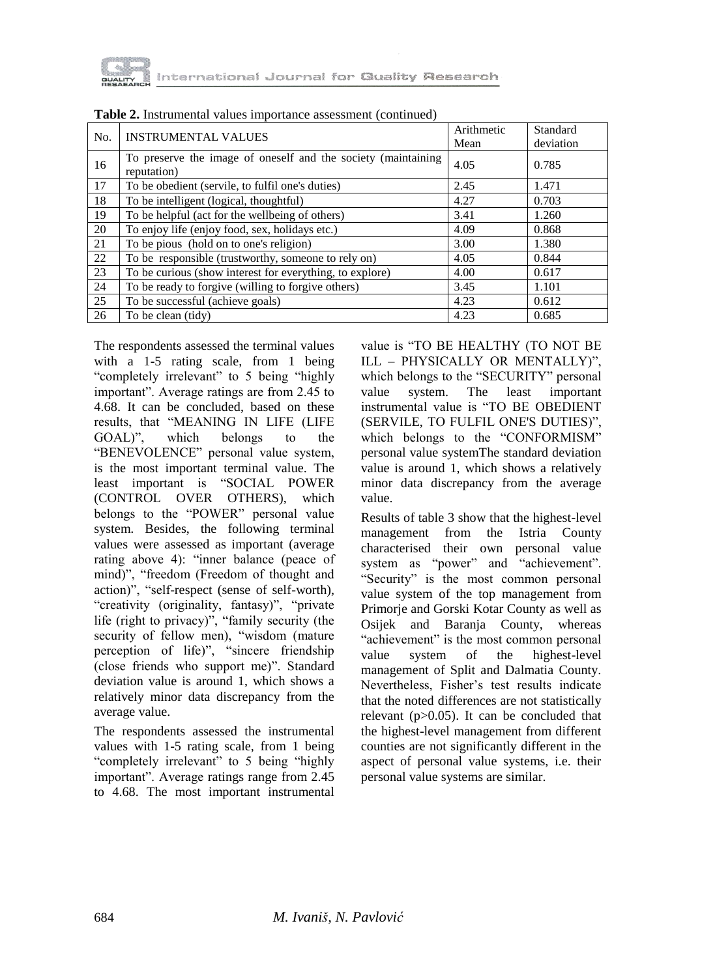

| No. | <b>INSTRUMENTAL VALUES</b>                                                   | Arithmetic<br>Mean | Standard<br>deviation |
|-----|------------------------------------------------------------------------------|--------------------|-----------------------|
| 16  | To preserve the image of oneself and the society (maintaining<br>reputation) | 4.05               | 0.785                 |
| 17  | To be obedient (servile, to fulfil one's duties)                             | 2.45               | 1.471                 |
| 18  | To be intelligent (logical, thoughtful)                                      | 4.27               | 0.703                 |
| 19  | To be helpful (act for the wellbeing of others)                              | 3.41               | 1.260                 |
| 20  | To enjoy life (enjoy food, sex, holidays etc.)                               | 4.09               | 0.868                 |
| 21  | To be pious (hold on to one's religion)                                      | 3.00               | 1.380                 |
| 22  | To be responsible (trustworthy, someone to rely on)                          | 4.05               | 0.844                 |
| 23  | To be curious (show interest for everything, to explore)                     | 4.00               | 0.617                 |
| 24  | To be ready to forgive (willing to forgive others)                           | 3.45               | 1.101                 |
| 25  | To be successful (achieve goals)                                             | 4.23               | 0.612                 |
| 26  | To be clean (tidy)                                                           | 4.23               | 0.685                 |

**Table 2.** Instrumental values importance assessment (continued)

The respondents assessed the terminal values with a 1-5 rating scale, from 1 being "completely irrelevant" to 5 being "highly important". Average ratings are from 2.45 to 4.68. It can be concluded, based on these results, that "MEANING IN LIFE (LIFE GOAL)", which belongs to the "BENEVOLENCE" personal value system, is the most important terminal value. The least important is "SOCIAL POWER (CONTROL OVER OTHERS), which belongs to the "POWER" personal value system. Besides, the following terminal values were assessed as important (average rating above 4): "inner balance (peace of mind)", "freedom (Freedom of thought and action)", "self-respect (sense of self-worth), "creativity (originality, fantasy)", "private life (right to privacy)", "family security (the security of fellow men), "wisdom (mature perception of life)", "sincere friendship (close friends who support me)". Standard deviation value is around 1, which shows a relatively minor data discrepancy from the average value.

The respondents assessed the instrumental values with 1-5 rating scale, from 1 being "completely irrelevant" to 5 being "highly important". Average ratings range from 2.45 to 4.68. The most important instrumental

value is "TO BE HEALTHY (TO NOT BE ILL – PHYSICALLY OR MENTALLY)", which belongs to the "SECURITY" personal value system. The least important instrumental value is "TO BE OBEDIENT (SERVILE, TO FULFIL ONE'S DUTIES)", which belongs to the "CONFORMISM" personal value systemThe standard deviation value is around 1, which shows a relatively minor data discrepancy from the average value.

Results of table 3 show that the highest-level management from the Istria County characterised their own personal value system as "power" and "achievement". "Security" is the most common personal value system of the top management from Primorje and Gorski Kotar County as well as Osijek and Baranja County, whereas "achievement" is the most common personal value system of the highest-level management of Split and Dalmatia County. Nevertheless, Fisher's test results indicate that the noted differences are not statistically relevant  $(p>0.05)$ . It can be concluded that the highest-level management from different counties are not significantly different in the aspect of personal value systems, i.e. their personal value systems are similar.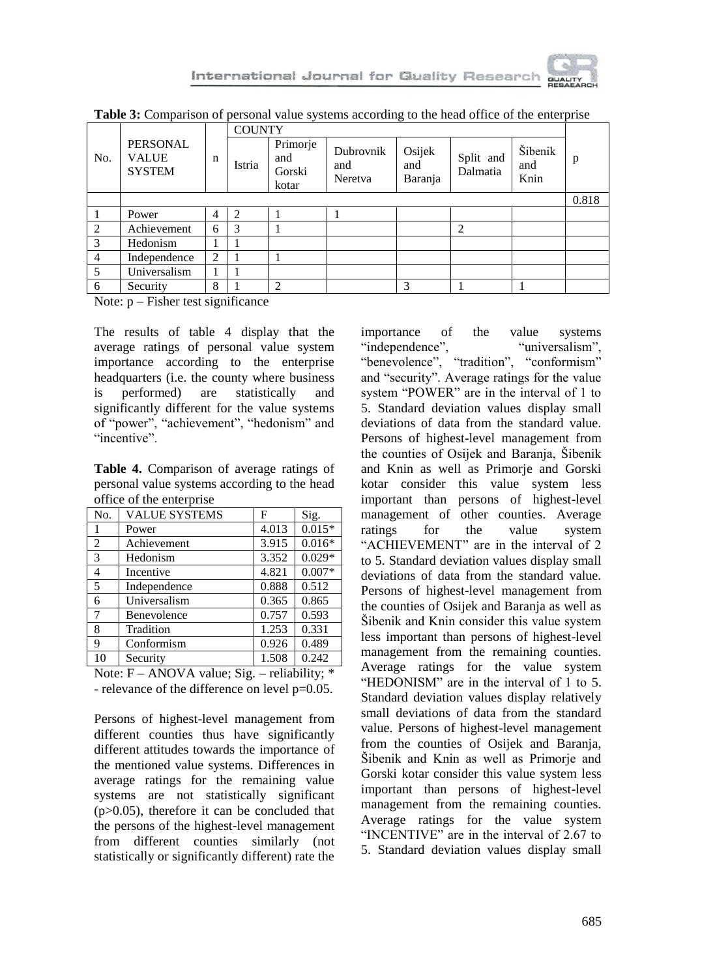

|                |                                           |   | <b>COUNTY</b> |                                    |                             |                          |                       |                        |       |
|----------------|-------------------------------------------|---|---------------|------------------------------------|-----------------------------|--------------------------|-----------------------|------------------------|-------|
| No.            | PERSONAL<br><b>VALUE</b><br><b>SYSTEM</b> | n | Istria        | Primorje<br>and<br>Gorski<br>kotar | Dubrovnik<br>and<br>Neretva | Osijek<br>and<br>Baranja | Split and<br>Dalmatia | Šibenik<br>and<br>Knin | p     |
|                |                                           |   |               |                                    |                             |                          |                       |                        | 0.818 |
|                | Power                                     | 4 | 2             |                                    |                             |                          |                       |                        |       |
| 2              | Achievement                               | 6 | 3             |                                    |                             |                          | 2                     |                        |       |
| 3              | Hedonism                                  |   |               |                                    |                             |                          |                       |                        |       |
| $\overline{4}$ | Independence                              | 2 |               |                                    |                             |                          |                       |                        |       |
| 5              | Universalism                              |   |               |                                    |                             |                          |                       |                        |       |
| 6              | Security                                  | 8 |               | 2                                  |                             | 3                        |                       |                        |       |

**Table 3:** Comparison of personal value systems according to the head office of the enterprise

Note:  $p$  – Fisher test significance

The results of table 4 display that the average ratings of personal value system importance according to the enterprise headquarters (i.e. the county where business is performed) are statistically and significantly different for the value systems of "power", "achievement", "hedonism" and "incentive".

**Table 4.** Comparison of average ratings of personal value systems according to the head office of the enterprise

| No.            | <b>VALUE SYSTEMS</b> | F     | Sig.     |
|----------------|----------------------|-------|----------|
| 1              | Power                | 4.013 | $0.015*$ |
| $\overline{2}$ | Achievement          | 3.915 | $0.016*$ |
| 3              | Hedonism             | 3.352 | $0.029*$ |
| $\overline{4}$ | Incentive            | 4.821 | $0.007*$ |
| 5              | Independence         | 0.888 | 0.512    |
| 6              | Universalism         | 0.365 | 0.865    |
| $\overline{7}$ | Benevolence          | 0.757 | 0.593    |
| 8              | Tradition            | 1.253 | 0.331    |
| 9              | Conformism           | 0.926 | 0.489    |
| 10             | Security             | 1.508 | 0.242    |

Note:  $F - ANOVA$  value; Sig. – reliability;  $*$ - relevance of the difference on level p=0.05.

Persons of highest-level management from different counties thus have significantly different attitudes towards the importance of the mentioned value systems. Differences in average ratings for the remaining value systems are not statistically significant  $(p>0.05)$ , therefore it can be concluded that the persons of the highest-level management from different counties similarly (not statistically or significantly different) rate the

importance of the value systems "independence", "universalism", "benevolence", "tradition", "conformism" and "security". Average ratings for the value system "POWER" are in the interval of 1 to 5. Standard deviation values display small deviations of data from the standard value. Persons of highest-level management from the counties of Osijek and Baranja, Šibenik and Knin as well as Primorje and Gorski kotar consider this value system less important than persons of highest-level management of other counties. Average ratings for the value system "ACHIEVEMENT" are in the interval of 2 to 5. Standard deviation values display small deviations of data from the standard value. Persons of highest-level management from the counties of Osijek and Baranja as well as Šibenik and Knin consider this value system less important than persons of highest-level management from the remaining counties. Average ratings for the value system "HEDONISM" are in the interval of 1 to 5. Standard deviation values display relatively small deviations of data from the standard value. Persons of highest-level management from the counties of Osijek and Baranja, Šibenik and Knin as well as Primorje and Gorski kotar consider this value system less important than persons of highest-level management from the remaining counties. Average ratings for the value system "INCENTIVE" are in the interval of 2.67 to 5. Standard deviation values display small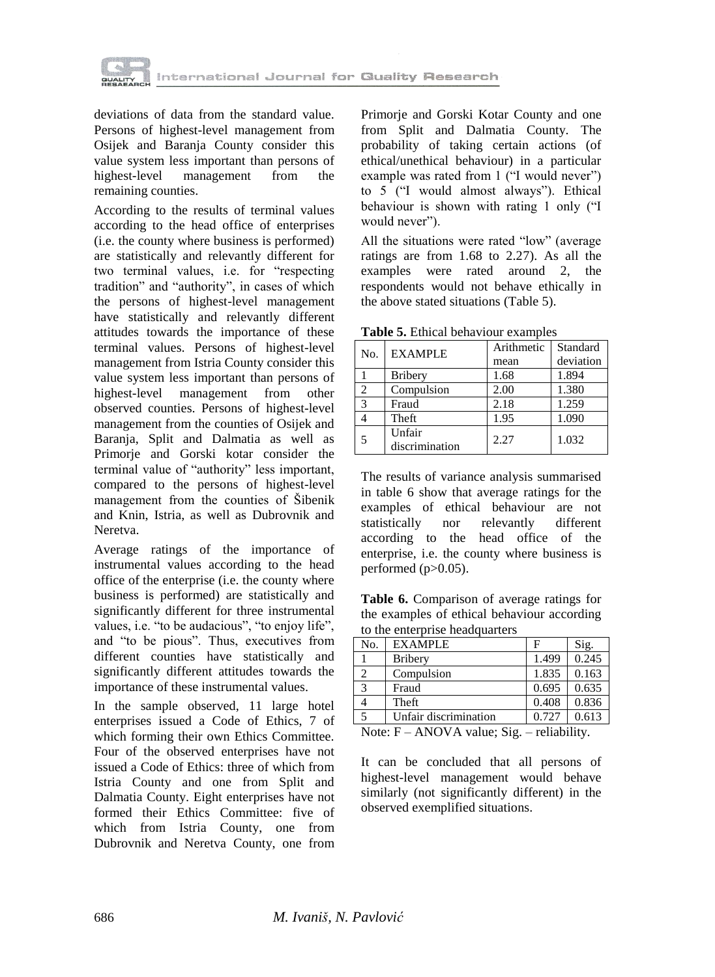

deviations of data from the standard value. Persons of highest-level management from Osijek and Baranja County consider this value system less important than persons of highest-level management from the remaining counties.

According to the results of terminal values according to the head office of enterprises (i.e. the county where business is performed) are statistically and relevantly different for two terminal values, i.e. for "respecting tradition" and "authority", in cases of which the persons of highest-level management have statistically and relevantly different attitudes towards the importance of these terminal values. Persons of highest-level management from Istria County consider this value system less important than persons of highest-level management from other observed counties. Persons of highest-level management from the counties of Osijek and Baranja, Split and Dalmatia as well as Primorje and Gorski kotar consider the terminal value of "authority" less important, compared to the persons of highest-level management from the counties of Šibenik and Knin, Istria, as well as Dubrovnik and Neretva.

Average ratings of the importance of instrumental values according to the head office of the enterprise (i.e. the county where business is performed) are statistically and significantly different for three instrumental values, i.e. "to be audacious", "to enjoy life", and "to be pious". Thus, executives from different counties have statistically and significantly different attitudes towards the importance of these instrumental values.

In the sample observed, 11 large hotel enterprises issued a Code of Ethics, 7 of which forming their own Ethics Committee. Four of the observed enterprises have not issued a Code of Ethics: three of which from Istria County and one from Split and Dalmatia County. Eight enterprises have not formed their Ethics Committee: five of which from Istria County, one from Dubrovnik and Neretva County, one from Primorje and Gorski Kotar County and one from Split and Dalmatia County. The probability of taking certain actions (of ethical/unethical behaviour) in a particular example was rated from 1 ("I would never") to 5 ("I would almost always"). Ethical behaviour is shown with rating 1 only ("I would never").

All the situations were rated "low" (average ratings are from 1.68 to 2.27). As all the examples were rated around 2, the respondents would not behave ethically in the above stated situations (Table 5).

| No.            | <b>EXAMPLE</b> | Arithmetic | Standard  |
|----------------|----------------|------------|-----------|
|                |                | mean       | deviation |
|                | <b>Bribery</b> | 1.68       | 1.894     |
| $\mathfrak{D}$ | Compulsion     | 2.00       | 1.380     |
| $\mathbf 3$    | Fraud          | 2.18       | 1.259     |
|                | Theft          | 1.95       | 1.090     |
|                | Unfair         | 2.27       | 1.032     |
|                | discrimination |            |           |

**Table 5.** Ethical behaviour examples

The results of variance analysis summarised in table 6 show that average ratings for the examples of ethical behaviour are not statistically nor relevantly different according to the head office of the enterprise, i.e. the county where business is performed  $(p>0.05)$ .

**Table 6.** Comparison of average ratings for the examples of ethical behaviour according to the enterprise headquarters

| No. | <b>EXAMPLE</b>        |          | Sig.  |
|-----|-----------------------|----------|-------|
|     | <b>Bribery</b>        | 1.499    | 0.245 |
|     | Compulsion            | 1.835    | 0.163 |
| 3   | Fraud                 | 0.695    | 0.635 |
|     | Theft                 | 0.408    | 0.836 |
|     | Unfair discrimination | 0.727    | 0.613 |
|     | $-1$                  | -- - --- |       |

Note:  $F - ANOVA$  value; Sig. – reliability.

It can be concluded that all persons of highest-level management would behave similarly (not significantly different) in the observed exemplified situations.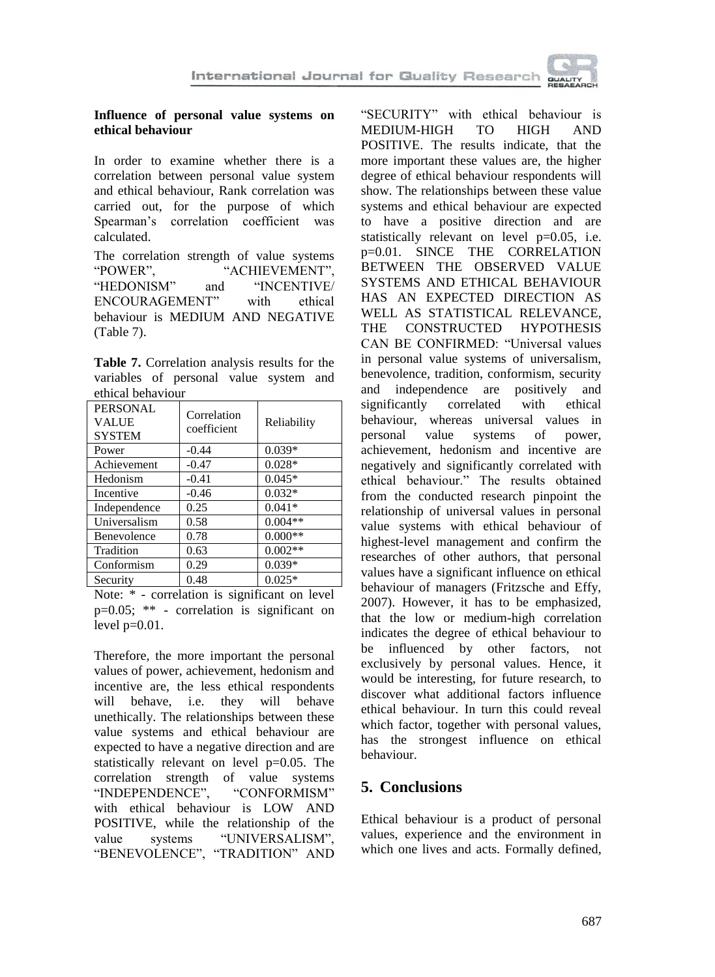

#### **Influence of personal value systems on ethical behaviour**

In order to examine whether there is a correlation between personal value system and ethical behaviour, Rank correlation was carried out, for the purpose of which Spearman's correlation coefficient was calculated.

The correlation strength of value systems "POWER", "ACHIEVEMENT", "HEDONISM" and "INCENTIVE/ ENCOURAGEMENT" with ethical behaviour is MEDIUM AND NEGATIVE (Table 7).

**Table 7.** Correlation analysis results for the variables of personal value system and ethical behaviour

| <b>PERSONAL</b><br><b>VALUE</b><br><b>SYSTEM</b> | Correlation<br>coefficient | Reliability |
|--------------------------------------------------|----------------------------|-------------|
| Power                                            | $-0.44$                    | $0.039*$    |
| Achievement                                      | $-0.47$                    | $0.028*$    |
| Hedonism                                         | $-0.41$                    | $0.045*$    |
| Incentive                                        | $-0.46$                    | $0.032*$    |
| Independence                                     | 0.25                       | $0.041*$    |
| Universalism                                     | 0.58                       | $0.004**$   |
| Benevolence                                      | 0.78                       | $0.000**$   |
| Tradition                                        | 0.63                       | $0.002**$   |
| Conformism                                       | 0.29                       | $0.039*$    |
| Security                                         | 0.48                       | $0.025*$    |

Note: \* - correlation is significant on level p=0.05; \*\* - correlation is significant on level  $p=0.01$ .

Therefore, the more important the personal values of power, achievement, hedonism and incentive are, the less ethical respondents will behave, i.e. they will behave unethically. The relationships between these value systems and ethical behaviour are expected to have a negative direction and are statistically relevant on level p=0.05. The correlation strength of value systems "INDEPENDENCE", "CONFORMISM" with ethical behaviour is LOW AND POSITIVE, while the relationship of the value systems "UNIVERSALISM", "BENEVOLENCE", "TRADITION" AND

"SECURITY" with ethical behaviour is MEDIUM-HIGH TO HIGH AND POSITIVE. The results indicate, that the more important these values are, the higher degree of ethical behaviour respondents will show. The relationships between these value systems and ethical behaviour are expected to have a positive direction and are statistically relevant on level p=0.05, i.e. p=0.01. SINCE THE CORRELATION BETWEEN THE OBSERVED VALUE SYSTEMS AND ETHICAL BEHAVIOUR HAS AN EXPECTED DIRECTION AS WELL AS STATISTICAL RELEVANCE, THE CONSTRUCTED HYPOTHESIS CAN BE CONFIRMED: "Universal values in personal value systems of universalism, benevolence, tradition, conformism, security and independence are positively and significantly correlated with ethical behaviour, whereas universal values in personal value systems of power, achievement, hedonism and incentive are negatively and significantly correlated with ethical behaviour." The results obtained from the conducted research pinpoint the relationship of universal values in personal value systems with ethical behaviour of highest-level management and confirm the researches of other authors, that personal values have a significant influence on ethical behaviour of managers (Fritzsche and Effy, 2007). However, it has to be emphasized, that the low or medium-high correlation indicates the degree of ethical behaviour to be influenced by other factors, not exclusively by personal values. Hence, it would be interesting, for future research, to discover what additional factors influence ethical behaviour. In turn this could reveal which factor, together with personal values, has the strongest influence on ethical behaviour.

# **5. Conclusions**

Ethical behaviour is a product of personal values, experience and the environment in which one lives and acts. Formally defined,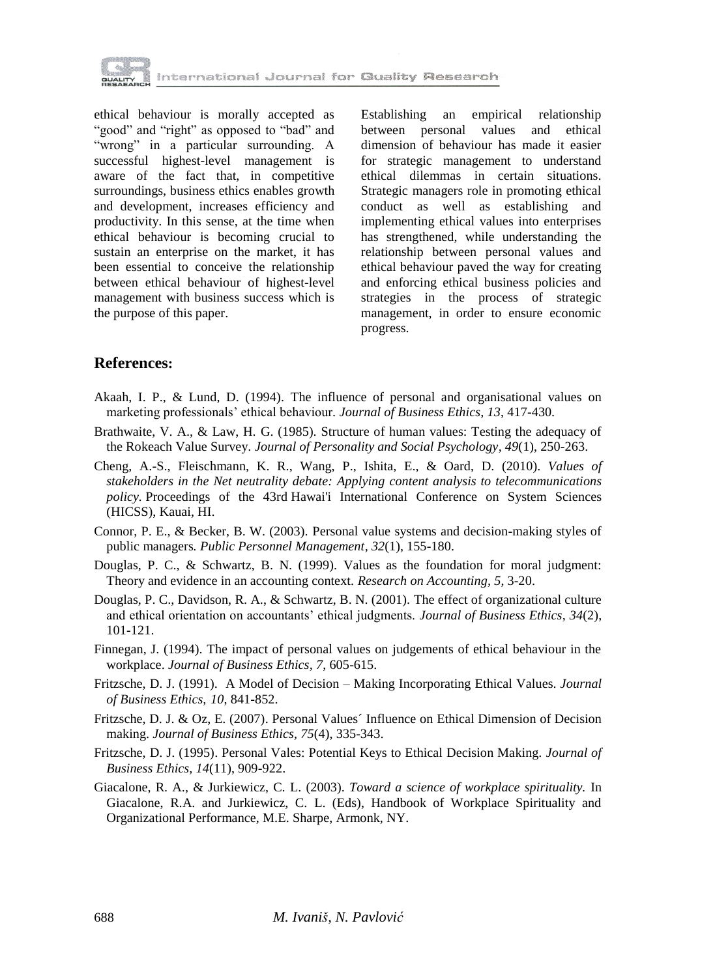

ethical behaviour is morally accepted as "good" and "right" as opposed to "bad" and "wrong" in a particular surrounding. A successful highest-level management is aware of the fact that, in competitive surroundings, business ethics enables growth and development, increases efficiency and productivity. In this sense, at the time when ethical behaviour is becoming crucial to sustain an enterprise on the market, it has been essential to conceive the relationship between ethical behaviour of highest-level management with business success which is the purpose of this paper.

Establishing an empirical relationship between personal values and ethical dimension of behaviour has made it easier for strategic management to understand ethical dilemmas in certain situations. Strategic managers role in promoting ethical conduct as well as establishing and implementing ethical values into enterprises has strengthened, while understanding the relationship between personal values and ethical behaviour paved the way for creating and enforcing ethical business policies and strategies in the process of strategic management, in order to ensure economic progress.

### **References:**

- Akaah, I. P., & Lund, D. (1994). The influence of personal and organisational values on marketing professionals' ethical behaviour*. Journal of Business Ethics, 13*, 417-430.
- Brathwaite, V. A., & Law, H. G. (1985). Structure of human values: Testing the adequacy of the Rokeach Value Survey*. Journal of Personality and Social Psychology, 49*(1), 250-263.
- Cheng, A.-S., Fleischmann, K. R., Wang, P., Ishita, E., & Oard, D. (2010). *Values of stakeholders in the Net neutrality debate: Applying content analysis to telecommunications policy.* Proceedings of the 43rd Hawai'i International Conference on System Sciences (HICSS), Kauai, HI.
- Connor, P. E., & Becker, B. W. (2003). Personal value systems and decision-making styles of public managers*. Public Personnel Management, 32*(1), 155-180.
- Douglas, P. C., & Schwartz, B. N. (1999). Values as the foundation for moral judgment: Theory and evidence in an accounting context. *Research on Accounting, 5*, 3-20.
- Douglas, P. C., Davidson, R. A., & Schwartz, B. N. (2001). The effect of organizational culture and ethical orientation on accountants' ethical judgments. *Journal of Business Ethics, 34*(2), 101-121.
- Finnegan, J. (1994). The impact of personal values on judgements of ethical behaviour in the workplace. *Journal of Business Ethics, 7*, 605-615.
- Fritzsche, D. J. (1991). A Model of Decision Making Incorporating Ethical Values. *Journal of Business Ethics, 10*, 841-852.
- Fritzsche, D. J. & Oz, E. (2007). Personal Values´ Influence on Ethical Dimension of Decision making. *Journal of Business Ethics, 75*(4), 335-343.
- Fritzsche, D. J. (1995). Personal Vales: Potential Keys to Ethical Decision Making*. Journal of Business Ethics, 14*(11), 909-922.
- Giacalone, R. A., & Jurkiewicz, C. L. (2003). *Toward a science of workplace spirituality.* In Giacalone, R.A. and Jurkiewicz, C. L. (Eds), Handbook of Workplace Spirituality and Organizational Performance, M.E. Sharpe, Armonk, NY.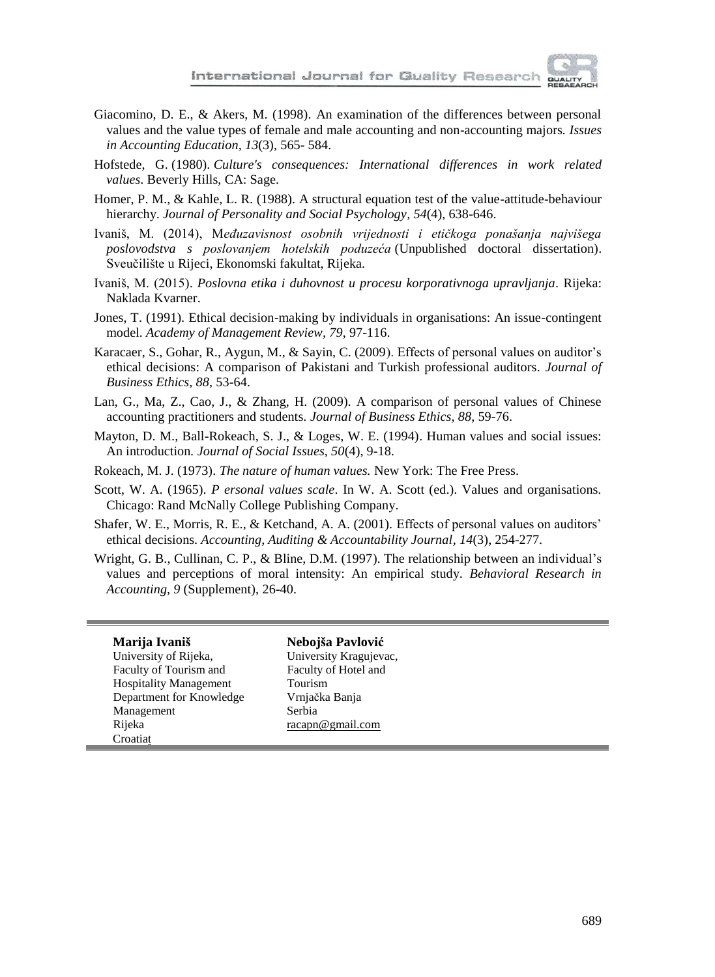

- Giacomino, D. E., & Akers, M. (1998). An examination of the differences between personal values and the value types of female and male accounting and non-accounting majors*. Issues in Accounting Education, 13*(3), 565- 584.
- Hofstede, G. (1980). *Culture's consequences: International differences in work related values*. Beverly Hills, CA: Sage.
- Homer, P. M., & Kahle, L. R. (1988). A structural equation test of the value-attitude-behaviour hierarchy. *Journal of Personality and Social Psychology, 54*(4), 638-646.
- Ivaniš, M. (2014), M*eđuzavisnost osobnih vrijednosti i etičkoga ponašanja najvišega poslovodstva s poslovanjem hotelskih poduzeća* (Unpublished doctoral dissertation). Sveučilište u Rijeci, Ekonomski fakultat, Rijeka.
- Ivaniš, M. (2015). *Poslovna etika i duhovnost u procesu korporativnoga upravljanja.* Rijeka: Naklada Kvarner.
- Jones, T. (1991). Ethical decision-making by individuals in organisations: An issue-contingent model. *Academy of Management Review, 79*, 97-116.
- Karacaer, S., Gohar, R., Aygun, M., & Sayin, C. (2009). Effects of personal values on auditor's ethical decisions: A comparison of Pakistani and Turkish professional auditors*. Journal of Business Ethics, 88*, 53-64.
- Lan, G., Ma, Z., Cao, J., & Zhang, H. (2009). A comparison of personal values of Chinese accounting practitioners and students*. Journal of Business Ethics, 88*, 59-76.
- Mayton, D. M., Ball-Rokeach, S. J., & Loges, W. E. (1994). Human values and social issues: An introduction*. Journal of Social Issues, 50*(4), 9-18.
- Rokeach, M. J. (1973). *The nature of human values.* New York: The Free Press.
- Scott, W. A. (1965). *P ersonal values scale*. In W. A. Scott (ed.). Values and organisations. Chicago: Rand McNally College Publishing Company.
- Shafer, W. E., Morris, R. E., & Ketchand, A. A. (2001). Effects of personal values on auditors' ethical decisions. *Accounting, Auditing & Accountability Journal, 14*(3), 254-277.
- Wright, G. B., Cullinan, C. P., & Bline, D.M. (1997). The relationship between an individual's values and perceptions of moral intensity: An empirical study*. Behavioral Research in Accounting, 9* (Supplement), 26-40.

| Marija Ivaniš                 | Nebojša Pavlović       |
|-------------------------------|------------------------|
| University of Rijeka,         | University Kragujevac, |
| Faculty of Tourism and        | Faculty of Hotel and   |
| <b>Hospitality Management</b> | Tourism                |
| Department for Knowledge      | Vrnjačka Banja         |
| Management                    | Serbia                 |
| Rijeka                        | racapn@gmail.com       |
| Croatiat                      |                        |